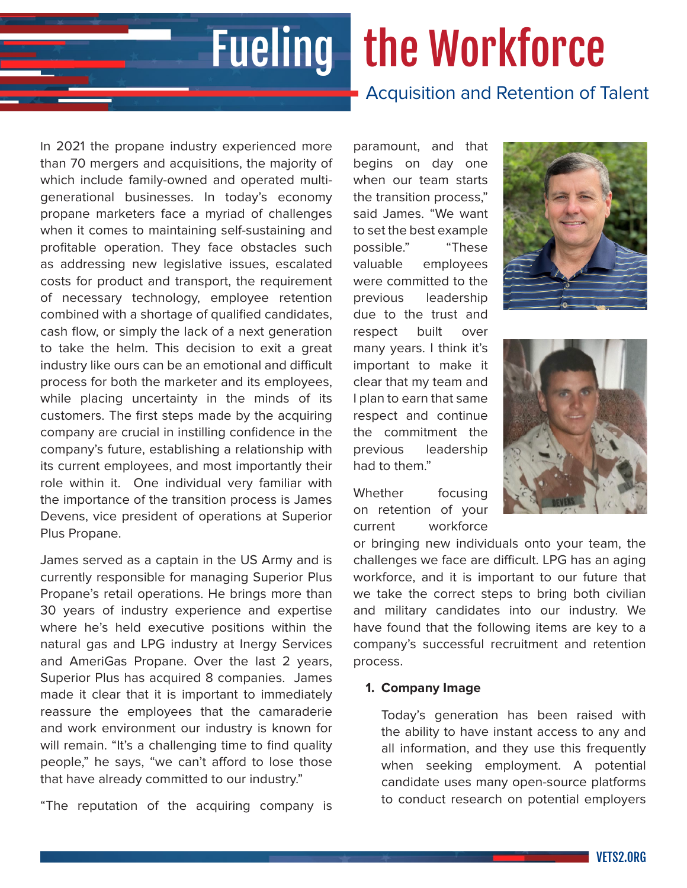# Fueling the Workforce

# Acquisition and Retention of Talent

In 2021 the propane industry experienced more than 70 mergers and acquisitions, the majority of which include family-owned and operated multigenerational businesses. In today's economy propane marketers face a myriad of challenges when it comes to maintaining self-sustaining and profitable operation. They face obstacles such as addressing new legislative issues, escalated costs for product and transport, the requirement of necessary technology, employee retention combined with a shortage of qualified candidates, cash flow, or simply the lack of a next generation to take the helm. This decision to exit a great industry like ours can be an emotional and difficult process for both the marketer and its employees, while placing uncertainty in the minds of its customers. The first steps made by the acquiring company are crucial in instilling confidence in the company's future, establishing a relationship with its current employees, and most importantly their role within it. One individual very familiar with the importance of the transition process is James Devens, vice president of operations at Superior Plus Propane.

James served as a captain in the US Army and is currently responsible for managing Superior Plus Propane's retail operations. He brings more than 30 years of industry experience and expertise where he's held executive positions within the natural gas and LPG industry at Inergy Services and AmeriGas Propane. Over the last 2 years, Superior Plus has acquired 8 companies. James made it clear that it is important to immediately reassure the employees that the camaraderie and work environment our industry is known for will remain. "It's a challenging time to find quality people," he says, "we can't afford to lose those that have already committed to our industry."

"The reputation of the acquiring company is

paramount, and that begins on day one when our team starts the transition process," said James. "We want to set the best example possible." "These valuable employees were committed to the previous leadership due to the trust and respect built over many years. I think it's important to make it clear that my team and I plan to earn that same respect and continue the commitment the previous leadership had to them."

Whether focusing on retention of your current workforce





or bringing new individuals onto your team, the challenges we face are difficult. LPG has an aging workforce, and it is important to our future that we take the correct steps to bring both civilian and military candidates into our industry. We have found that the following items are key to a company's successful recruitment and retention process.

#### **1. Company Image**

Today's generation has been raised with the ability to have instant access to any and all information, and they use this frequently when seeking employment. A potential candidate uses many open-source platforms to conduct research on potential employers